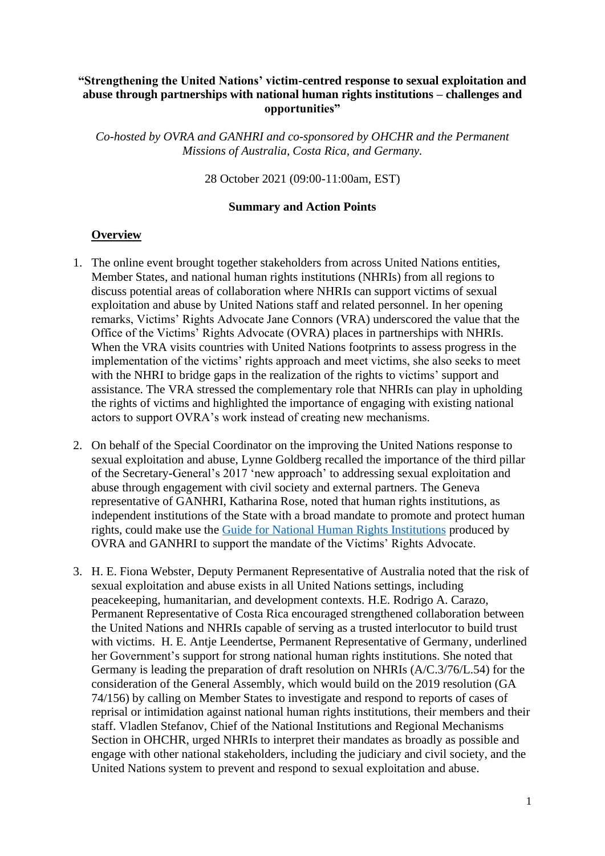## **"Strengthening the United Nations' victim-centred response to sexual exploitation and abuse through partnerships with national human rights institutions – challenges and opportunities"**

*Co-hosted by OVRA and GANHRI and co-sponsored by OHCHR and the Permanent Missions of Australia, Costa Rica, and Germany.*

28 October 2021 (09:00-11:00am, EST)

#### **Summary and Action Points**

#### **Overview**

- 1. The online event brought together stakeholders from across United Nations entities, Member States, and national human rights institutions (NHRIs) from all regions to discuss potential areas of collaboration where NHRIs can support victims of sexual exploitation and abuse by United Nations staff and related personnel. In her opening remarks, Victims' Rights Advocate Jane Connors (VRA) underscored the value that the Office of the Victims' Rights Advocate (OVRA) places in partnerships with NHRIs. When the VRA visits countries with United Nations footprints to assess progress in the implementation of the victims' rights approach and meet victims, she also seeks to meet with the NHRI to bridge gaps in the realization of the rights to victims' support and assistance. The VRA stressed the complementary role that NHRIs can play in upholding the rights of victims and highlighted the importance of engaging with existing national actors to support OVRA's work instead of creating new mechanisms.
- 2. On behalf of the Special Coordinator on the improving the United Nations response to sexual exploitation and abuse, Lynne Goldberg recalled the importance of the third pillar of the Secretary-General's 2017 'new approach' to addressing sexual exploitation and abuse through engagement with civil society and external partners. The Geneva representative of GANHRI, Katharina Rose, noted that human rights institutions, as independent institutions of the State with a broad mandate to promote and protect human rights, could make use the [Guide for National Human Rights Institutions](https://www.un.org/preventing-sexual-exploitation-and-abuse/sites/www.un.org.preventing-sexual-exploitation-and-abuse/files/ovra_guide_for_nhris-en.pdf) produced by OVRA and GANHRI to support the mandate of the Victims' Rights Advocate.
- 3. H. E. Fiona Webster, Deputy Permanent Representative of Australia noted that the risk of sexual exploitation and abuse exists in all United Nations settings, including peacekeeping, humanitarian, and development contexts. H.E. Rodrigo A. Carazo, Permanent Representative of Costa Rica encouraged strengthened collaboration between the United Nations and NHRIs capable of serving as a trusted interlocutor to build trust with victims. H. E. Antje Leendertse, Permanent Representative of Germany, underlined her Government's support for strong national human rights institutions. She noted that Germany is leading the preparation of draft resolution on NHRIs (A/C.3/76/L.54) for the consideration of the General Assembly, which would build on the 2019 resolution (GA 74/156) by calling on Member States to investigate and respond to reports of cases of reprisal or intimidation against national human rights institutions, their members and their staff. Vladlen Stefanov, Chief of the National Institutions and Regional Mechanisms Section in OHCHR, urged NHRIs to interpret their mandates as broadly as possible and engage with other national stakeholders, including the judiciary and civil society, and the United Nations system to prevent and respond to sexual exploitation and abuse.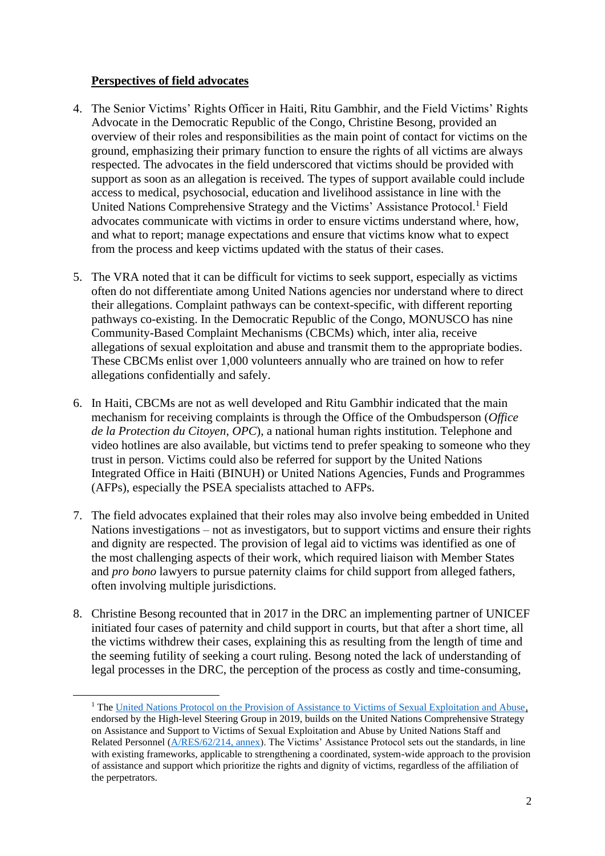# **Perspectives of field advocates**

- 4. The Senior Victims' Rights Officer in Haiti, Ritu Gambhir, and the Field Victims' Rights Advocate in the Democratic Republic of the Congo, Christine Besong, provided an overview of their roles and responsibilities as the main point of contact for victims on the ground, emphasizing their primary function to ensure the rights of all victims are always respected. The advocates in the field underscored that victims should be provided with support as soon as an allegation is received. The types of support available could include access to medical, psychosocial, education and livelihood assistance in line with the United Nations Comprehensive Strategy and the Victims' Assistance Protocol.<sup>1</sup> Field advocates communicate with victims in order to ensure victims understand where, how, and what to report; manage expectations and ensure that victims know what to expect from the process and keep victims updated with the status of their cases.
- 5. The VRA noted that it can be difficult for victims to seek support, especially as victims often do not differentiate among United Nations agencies nor understand where to direct their allegations. Complaint pathways can be context-specific, with different reporting pathways co-existing. In the Democratic Republic of the Congo, MONUSCO has nine Community-Based Complaint Mechanisms (CBCMs) which, inter alia, receive allegations of sexual exploitation and abuse and transmit them to the appropriate bodies. These CBCMs enlist over 1,000 volunteers annually who are trained on how to refer allegations confidentially and safely.
- 6. In Haiti, CBCMs are not as well developed and Ritu Gambhir indicated that the main mechanism for receiving complaints is through the Office of the Ombudsperson (*Office de la Protection du Citoyen, OPC*), a national human rights institution. Telephone and video hotlines are also available, but victims tend to prefer speaking to someone who they trust in person. Victims could also be referred for support by the United Nations Integrated Office in Haiti (BINUH) or United Nations Agencies, Funds and Programmes (AFPs), especially the PSEA specialists attached to AFPs.
- 7. The field advocates explained that their roles may also involve being embedded in United Nations investigations – not as investigators, but to support victims and ensure their rights and dignity are respected. The provision of legal aid to victims was identified as one of the most challenging aspects of their work, which required liaison with Member States and *pro bono* lawyers to pursue paternity claims for child support from alleged fathers, often involving multiple jurisdictions.
- 8. Christine Besong recounted that in 2017 in the DRC an implementing partner of UNICEF initiated four cases of paternity and child support in courts, but that after a short time, all the victims withdrew their cases, explaining this as resulting from the length of time and the seeming futility of seeking a court ruling. Besong noted the lack of understanding of legal processes in the DRC, the perception of the process as costly and time-consuming,

<sup>&</sup>lt;sup>1</sup> The [United Nations Protocol on the Provision of Assistance to Victims of Sexual Exploitation and Abuse,](https://www.un.org/en/pdfs/UN%20Victim%20Assistance%20Protocol_English_Final.pdf.) endorsed by the High-level Steering Group in 2019, builds on the United Nations Comprehensive Strategy on Assistance and Support to Victims of Sexual Exploitation and Abuse by United Nations Staff and Related Personnel [\(A/RES/62/214, annex\)](https://undocs.org/A/RES/62/214). The Victims' Assistance Protocol sets out the standards, in line with existing frameworks, applicable to strengthening a coordinated, system-wide approach to the provision of assistance and support which prioritize the rights and dignity of victims, regardless of the affiliation of the perpetrators.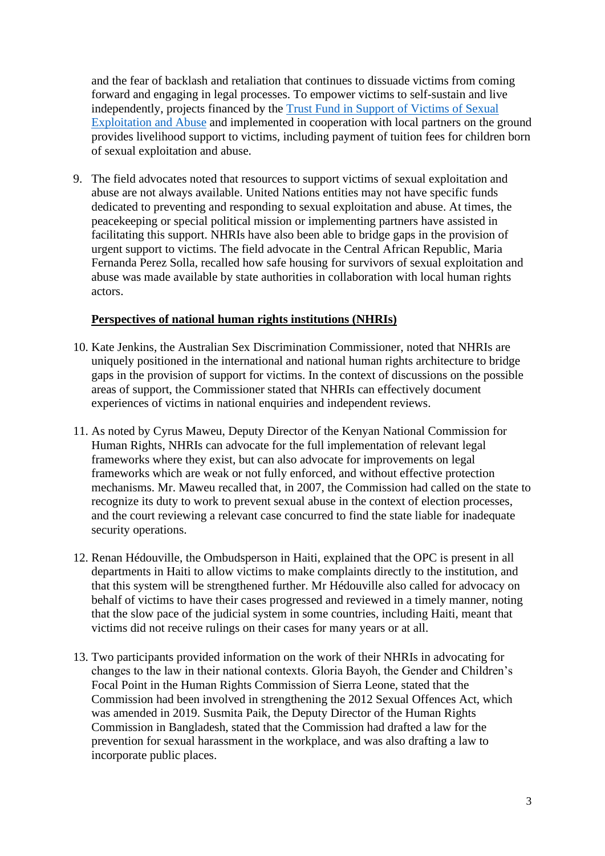and the fear of backlash and retaliation that continues to dissuade victims from coming forward and engaging in legal processes. To empower victims to self-sustain and live independently, projects financed by the [Trust Fund in Support of Victims of Sexual](https://www.un.org/preventing-sexual-exploitation-and-abuse/content/trust-fund)  [Exploitation and Abuse](https://www.un.org/preventing-sexual-exploitation-and-abuse/content/trust-fund) and implemented in cooperation with local partners on the ground provides livelihood support to victims, including payment of tuition fees for children born of sexual exploitation and abuse.

9. The field advocates noted that resources to support victims of sexual exploitation and abuse are not always available. United Nations entities may not have specific funds dedicated to preventing and responding to sexual exploitation and abuse. At times, the peacekeeping or special political mission or implementing partners have assisted in facilitating this support. NHRIs have also been able to bridge gaps in the provision of urgent support to victims. The field advocate in the Central African Republic, Maria Fernanda Perez Solla, recalled how safe housing for survivors of sexual exploitation and abuse was made available by state authorities in collaboration with local human rights actors.

# **Perspectives of national human rights institutions (NHRIs)**

- 10. Kate Jenkins, the Australian Sex Discrimination Commissioner, noted that NHRIs are uniquely positioned in the international and national human rights architecture to bridge gaps in the provision of support for victims. In the context of discussions on the possible areas of support, the Commissioner stated that NHRIs can effectively document experiences of victims in national enquiries and independent reviews.
- 11. As noted by Cyrus Maweu, Deputy Director of the Kenyan National Commission for Human Rights, NHRIs can advocate for the full implementation of relevant legal frameworks where they exist, but can also advocate for improvements on legal frameworks which are weak or not fully enforced, and without effective protection mechanisms. Mr. Maweu recalled that, in 2007, the Commission had called on the state to recognize its duty to work to prevent sexual abuse in the context of election processes, and the court reviewing a relevant case concurred to find the state liable for inadequate security operations.
- 12. Renan Hédouville, the Ombudsperson in Haiti, explained that the OPC is present in all departments in Haiti to allow victims to make complaints directly to the institution, and that this system will be strengthened further. Mr Hédouville also called for advocacy on behalf of victims to have their cases progressed and reviewed in a timely manner, noting that the slow pace of the judicial system in some countries, including Haiti, meant that victims did not receive rulings on their cases for many years or at all.
- 13. Two participants provided information on the work of their NHRIs in advocating for changes to the law in their national contexts. Gloria Bayoh, the Gender and Children's Focal Point in the Human Rights Commission of Sierra Leone, stated that the Commission had been involved in strengthening the 2012 Sexual Offences Act, which was amended in 2019. Susmita Paik, the Deputy Director of the Human Rights Commission in Bangladesh, stated that the Commission had drafted a law for the prevention for sexual harassment in the workplace, and was also drafting a law to incorporate public places.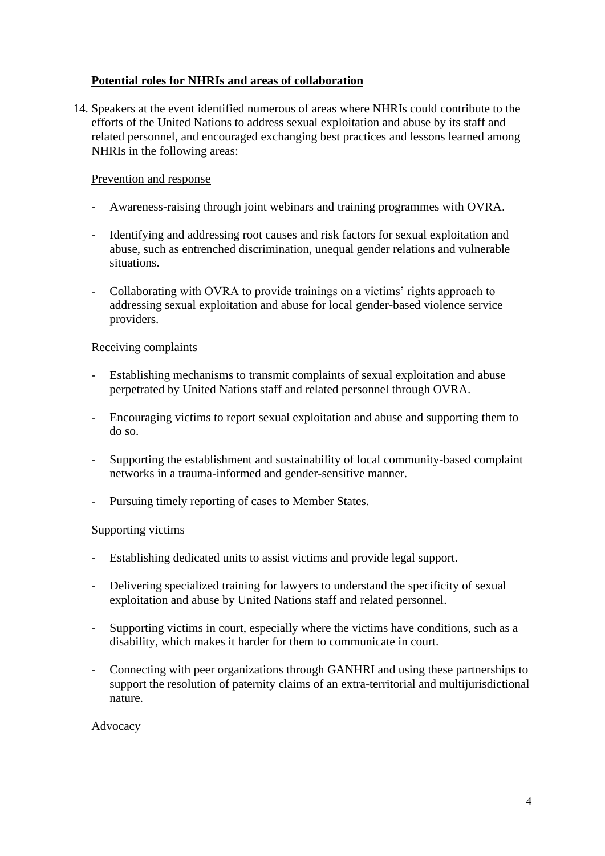# **Potential roles for NHRIs and areas of collaboration**

14. Speakers at the event identified numerous of areas where NHRIs could contribute to the efforts of the United Nations to address sexual exploitation and abuse by its staff and related personnel, and encouraged exchanging best practices and lessons learned among NHRIs in the following areas:

## Prevention and response

- Awareness-raising through joint webinars and training programmes with OVRA.
- Identifying and addressing root causes and risk factors for sexual exploitation and abuse, such as entrenched discrimination, unequal gender relations and vulnerable situations.
- Collaborating with OVRA to provide trainings on a victims' rights approach to addressing sexual exploitation and abuse for local gender-based violence service providers.

## Receiving complaints

- Establishing mechanisms to transmit complaints of sexual exploitation and abuse perpetrated by United Nations staff and related personnel through OVRA.
- Encouraging victims to report sexual exploitation and abuse and supporting them to do so.
- Supporting the establishment and sustainability of local community-based complaint networks in a trauma-informed and gender-sensitive manner.
- Pursuing timely reporting of cases to Member States.

### Supporting victims

- Establishing dedicated units to assist victims and provide legal support.
- Delivering specialized training for lawyers to understand the specificity of sexual exploitation and abuse by United Nations staff and related personnel.
- Supporting victims in court, especially where the victims have conditions, such as a disability, which makes it harder for them to communicate in court.
- Connecting with peer organizations through GANHRI and using these partnerships to support the resolution of paternity claims of an extra-territorial and multijurisdictional nature.

### Advocacy